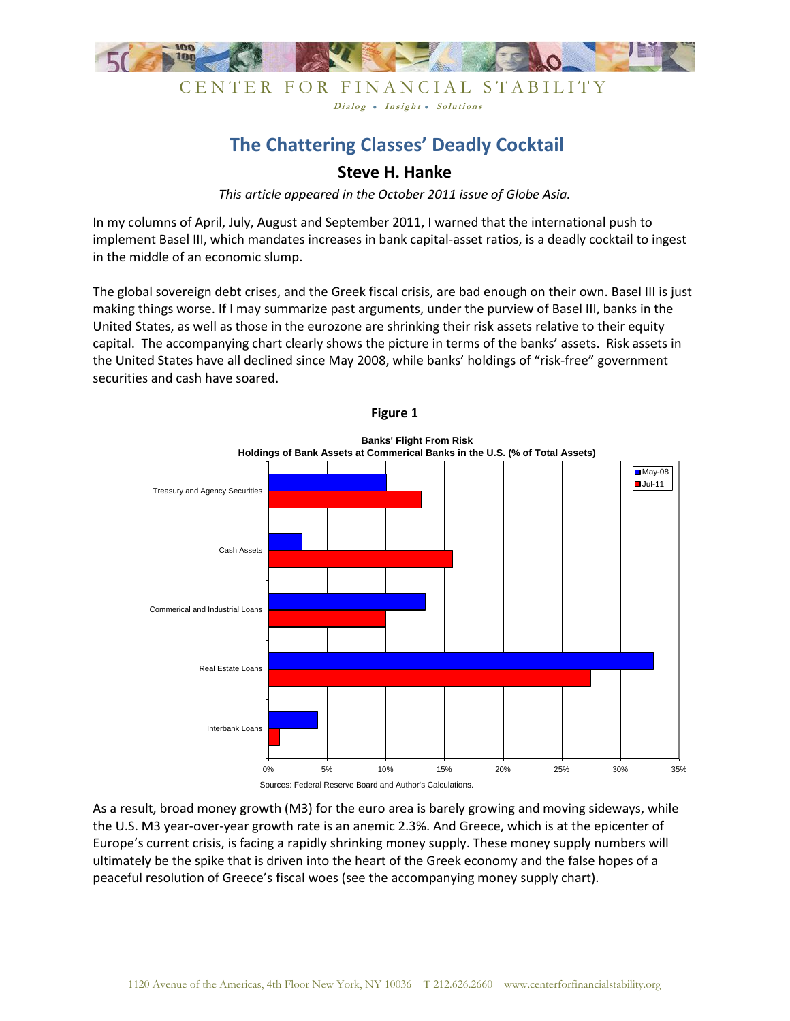

## CENTER FOR FINANCIAL STABILITY Dialog . Insight . Solutions

# **The Chattering Classes' Deadly Cocktail**

# **Steve H. Hanke**

*This article appeared in the October 2011 issue of Globe Asia.*

In my columns of April, July, August and September 2011, I warned that the international push to implement Basel III, which mandates increases in bank capital-asset ratios, is a deadly cocktail to ingest in the middle of an economic slump.

The global sovereign debt crises, and the Greek fiscal crisis, are bad enough on their own. Basel III is just making things worse. If I may summarize past arguments, under the purview of Basel III, banks in the United States, as well as those in the eurozone are shrinking their risk assets relative to their equity capital. The accompanying chart clearly shows the picture in terms of the banks' assets. Risk assets in the United States have all declined since May 2008, while banks' holdings of "risk-free" government securities and cash have soared.

**Figure 1**





As a result, broad money growth (M3) for the euro area is barely growing and moving sideways, while the U.S. M3 year-over-year growth rate is an anemic 2.3%. And Greece, which is at the epicenter of Europe's current crisis, is facing a rapidly shrinking money supply. These money supply numbers will ultimately be the spike that is driven into the heart of the Greek economy and the false hopes of a peaceful resolution of Greece's fiscal woes (see the accompanying money supply chart).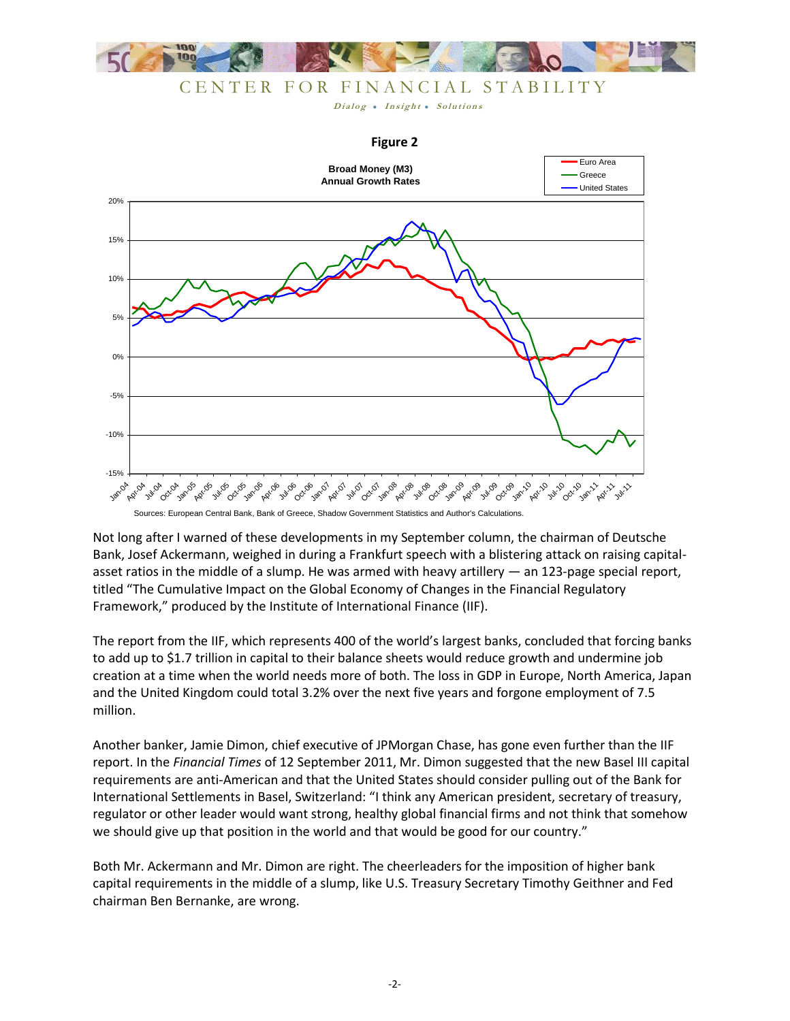

CENTER FOR FINANCIAL STABILITY

Dialog . Insight . Solutions

#### **Figure 2**



Not long after I warned of these developments in my September column, the chairman of Deutsche Bank, Josef Ackermann, weighed in during a Frankfurt speech with a blistering attack on raising capitalasset ratios in the middle of a slump. He was armed with heavy artillery — an 123-page special report, titled "The Cumulative Impact on the Global Economy of Changes in the Financial Regulatory Framework," produced by the Institute of International Finance (IIF).

The report from the IIF, which represents 400 of the world's largest banks, concluded that forcing banks to add up to \$1.7 trillion in capital to their balance sheets would reduce growth and undermine job creation at a time when the world needs more of both. The loss in GDP in Europe, North America, Japan and the United Kingdom could total 3.2% over the next five years and forgone employment of 7.5 million.

Another banker, Jamie Dimon, chief executive of JPMorgan Chase, has gone even further than the IIF report. In the *Financial Times* of 12 September 2011, Mr. Dimon suggested that the new Basel III capital requirements are anti-American and that the United States should consider pulling out of the Bank for International Settlements in Basel, Switzerland: "I think any American president, secretary of treasury, regulator or other leader would want strong, healthy global financial firms and not think that somehow we should give up that position in the world and that would be good for our country."

Both Mr. Ackermann and Mr. Dimon are right. The cheerleaders for the imposition of higher bank capital requirements in the middle of a slump, like U.S. Treasury Secretary Timothy Geithner and Fed chairman Ben Bernanke, are wrong.